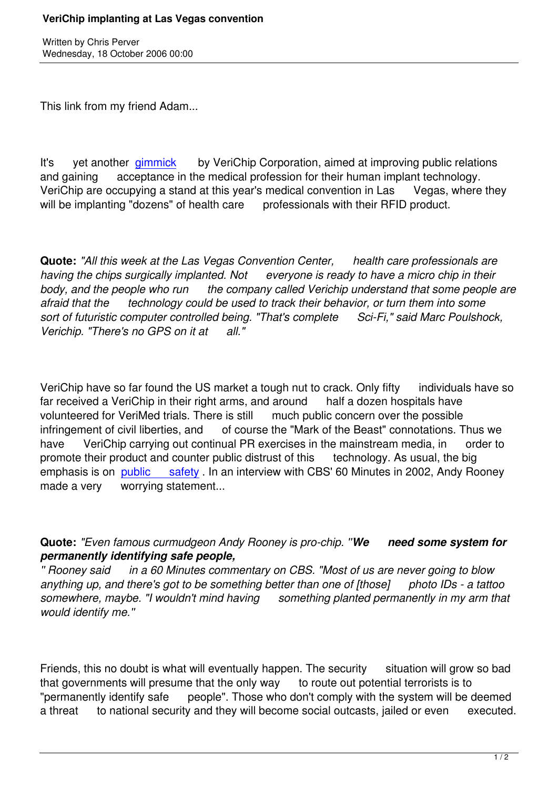Written by Christian by Christian by Christian by Christian by Christian by Christian by Chris Perus

This link from my friend Adam...

It's vet another gimmick by VeriChip Corporation, aimed at improving public relations and gaining acceptance in the medical profession for their human implant technology. VeriChip are occupying a stand at this year's medical convention in Las Vegas, where they will be implanting "[dozens"](http://www.kvbc.com/Global/story.asp?S=5550364&nav=15MV) of health care professionals with their RFID product.

**Quote:** *"All this week at the Las Vegas Convention Center, health care professionals are having the chips surgically implanted. Not everyone is ready to have a micro chip in their body, and the people who run the company called Verichip understand that some people are afraid that the technology could be used to track their behavior, or turn them into some sort of futuristic computer controlled being. "That's complete Sci-Fi," said Marc Poulshock, Verichip. "There's no GPS on it at all."*

VeriChip have so far found the US market a tough nut to crack. Only fifty individuals have so far received a VeriChip in their right arms, and around half a dozen hospitals have volunteered for VeriMed trials. There is still much public concern over the possible infringement of civil liberties, and of course the "Mark of the Beast" connotations. Thus we have VeriChip carrying out continual PR exercises in the mainstream media, in order to promote their product and counter public distrust of this technology. As usual, the big emphasis is on public safety. In an interview with CBS' 60 Minutes in 2002, Andy Rooney made a very worrying statement...

**Quote:** *"Even famous curmudgeon Andy Rooney is pro-chip. ''We need some system for permanently identifying safe people,*

*'' Rooney said in a 60 Minutes commentary on CBS. "Most of us are never going to blow anything up, and there's got to be something better than one of [those] photo IDs - a tattoo somewhere, maybe. "I wouldn't mind having something planted permanently in my arm that would identify me.''*

Friends, this no doubt is what will eventually happen. The security situation will grow so bad that governments will presume that the only way to route out potential terrorists is to "permanently identify safe people". Those who don't comply with the system will be deemed a threat to national security and they will become social outcasts, jailed or even executed.